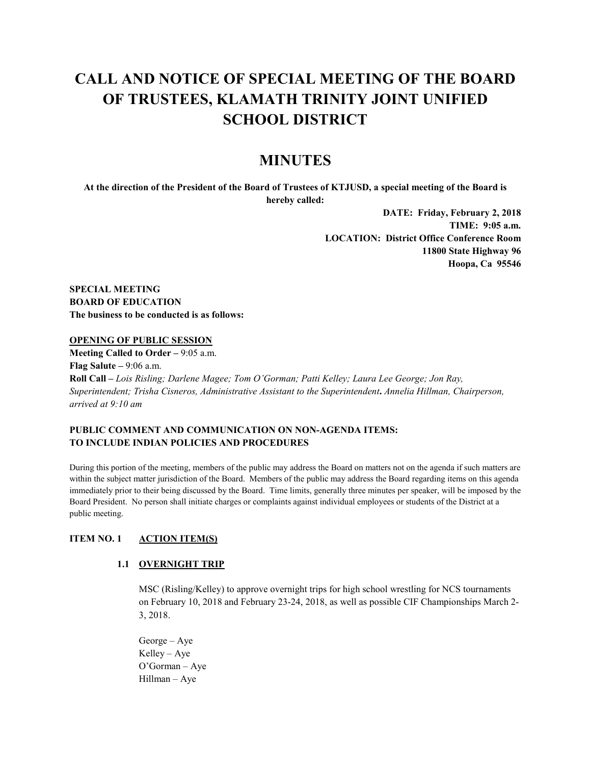# **CALL AND NOTICE OF SPECIAL MEETING OF THE BOARD OF TRUSTEES, KLAMATH TRINITY JOINT UNIFIED SCHOOL DISTRICT**

# **MINUTES**

**At the direction of the President of the Board of Trustees of KTJUSD, a special meeting of the Board is hereby called:**

> **DATE: Friday, February 2, 2018 TIME: 9:05 a.m. LOCATION: District Office Conference Room 11800 State Highway 96 Hoopa, Ca 95546**

**SPECIAL MEETING BOARD OF EDUCATION The business to be conducted is as follows:**

#### **OPENING OF PUBLIC SESSION**

**Meeting Called to Order –** 9:05 a.m. **Flag Salute –** 9:06 a.m. **Roll Call –** *Lois Risling; Darlene Magee; Tom O'Gorman; Patti Kelley; Laura Lee George; Jon Ray, Superintendent; Trisha Cisneros, Administrative Assistant to the Superintendent***.** *Annelia Hillman, Chairperson, arrived at 9:10 am*

# **PUBLIC COMMENT AND COMMUNICATION ON NON-AGENDA ITEMS: TO INCLUDE INDIAN POLICIES AND PROCEDURES**

During this portion of the meeting, members of the public may address the Board on matters not on the agenda if such matters are within the subject matter jurisdiction of the Board. Members of the public may address the Board regarding items on this agenda immediately prior to their being discussed by the Board. Time limits, generally three minutes per speaker, will be imposed by the Board President. No person shall initiate charges or complaints against individual employees or students of the District at a public meeting.

## **ITEM NO. 1 ACTION ITEM(S)**

## **1.1 OVERNIGHT TRIP**

MSC (Risling/Kelley) to approve overnight trips for high school wrestling for NCS tournaments on February 10, 2018 and February 23-24, 2018, as well as possible CIF Championships March 2- 3, 2018.

George – Aye Kelley – Aye O'Gorman – Aye Hillman – Aye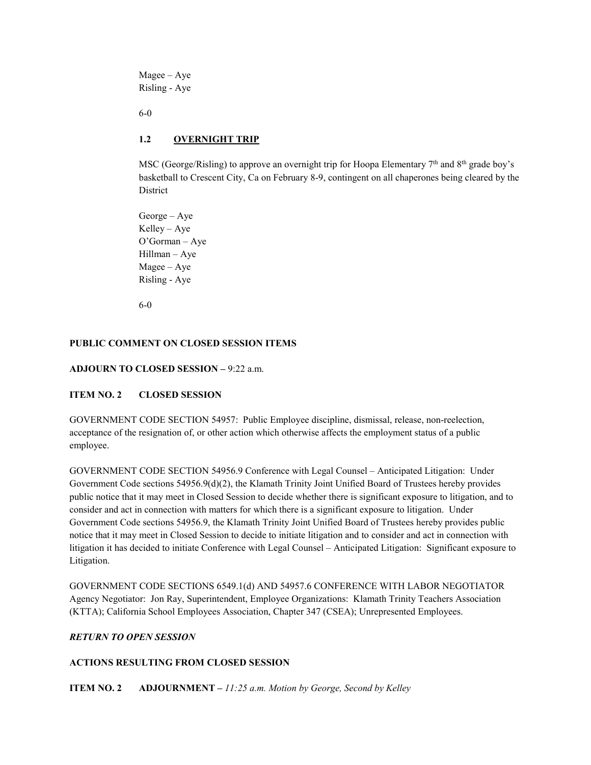Magee – Aye Risling - Aye

6-0

# **1.2 OVERNIGHT TRIP**

MSC (George/Risling) to approve an overnight trip for Hoopa Elementary 7<sup>th</sup> and 8<sup>th</sup> grade boy's basketball to Crescent City, Ca on February 8-9, contingent on all chaperones being cleared by the District

George – Aye Kelley – Aye O'Gorman – Aye Hillman – Aye Magee – Aye Risling - Aye

6-0

# **PUBLIC COMMENT ON CLOSED SESSION ITEMS**

# **ADJOURN TO CLOSED SESSION –** 9:22 a.m.

## **ITEM NO. 2 CLOSED SESSION**

GOVERNMENT CODE SECTION 54957: Public Employee discipline, dismissal, release, non-reelection, acceptance of the resignation of, or other action which otherwise affects the employment status of a public employee.

GOVERNMENT CODE SECTION 54956.9 Conference with Legal Counsel – Anticipated Litigation: Under Government Code sections 54956.9(d)(2), the Klamath Trinity Joint Unified Board of Trustees hereby provides public notice that it may meet in Closed Session to decide whether there is significant exposure to litigation, and to consider and act in connection with matters for which there is a significant exposure to litigation. Under Government Code sections 54956.9, the Klamath Trinity Joint Unified Board of Trustees hereby provides public notice that it may meet in Closed Session to decide to initiate litigation and to consider and act in connection with litigation it has decided to initiate Conference with Legal Counsel – Anticipated Litigation: Significant exposure to Litigation.

GOVERNMENT CODE SECTIONS 6549.1(d) AND 54957.6 CONFERENCE WITH LABOR NEGOTIATOR Agency Negotiator: Jon Ray, Superintendent, Employee Organizations: Klamath Trinity Teachers Association (KTTA); California School Employees Association, Chapter 347 (CSEA); Unrepresented Employees.

## *RETURN TO OPEN SESSION*

## **ACTIONS RESULTING FROM CLOSED SESSION**

**ITEM NO. 2 ADJOURNMENT –** *11:25 a.m. Motion by George, Second by Kelley*